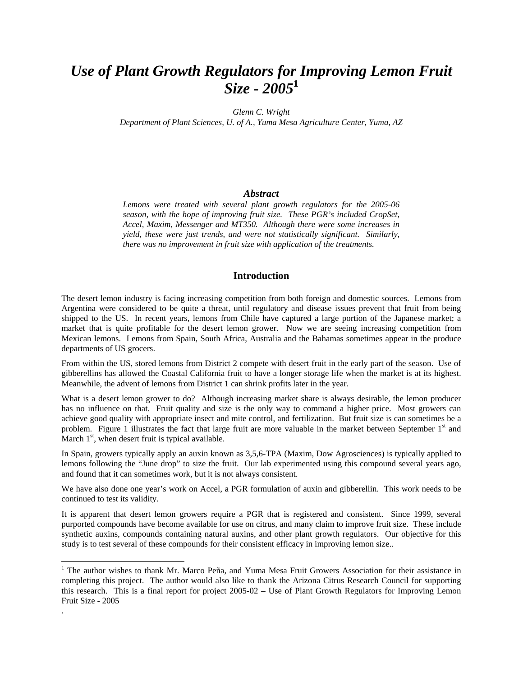# *Use of Plant Growth Regulators for Improving Lemon Fruit Size - 2005***<sup>1</sup>**

*Glenn C. Wright* 

*Department of Plant Sciences, U. of A., Yuma Mesa Agriculture Center, Yuma, AZ* 

#### *Abstract*

*Lemons were treated with several plant growth regulators for the 2005-06 season, with the hope of improving fruit size. These PGR's included CropSet, Accel, Maxim, Messenger and MT350. Although there were some increases in yield, these were just trends, and were not statistically significant. Similarly, there was no improvement in fruit size with application of the treatments.* 

#### **Introduction**

The desert lemon industry is facing increasing competition from both foreign and domestic sources. Lemons from Argentina were considered to be quite a threat, until regulatory and disease issues prevent that fruit from being shipped to the US. In recent years, lemons from Chile have captured a large portion of the Japanese market; a market that is quite profitable for the desert lemon grower. Now we are seeing increasing competition from Mexican lemons. Lemons from Spain, South Africa, Australia and the Bahamas sometimes appear in the produce departments of US grocers.

From within the US, stored lemons from District 2 compete with desert fruit in the early part of the season. Use of gibberellins has allowed the Coastal California fruit to have a longer storage life when the market is at its highest. Meanwhile, the advent of lemons from District 1 can shrink profits later in the year.

What is a desert lemon grower to do? Although increasing market share is always desirable, the lemon producer has no influence on that. Fruit quality and size is the only way to command a higher price. Most growers can achieve good quality with appropriate insect and mite control, and fertilization. But fruit size is can sometimes be a problem. Figure 1 illustrates the fact that large fruit are more valuable in the market between September  $1<sup>st</sup>$  and March  $1<sup>st</sup>$ , when desert fruit is typical available.

In Spain, growers typically apply an auxin known as 3,5,6-TPA (Maxim, Dow Agrosciences) is typically applied to lemons following the "June drop" to size the fruit. Our lab experimented using this compound several years ago, and found that it can sometimes work, but it is not always consistent.

We have also done one year's work on Accel, a PGR formulation of auxin and gibberellin. This work needs to be continued to test its validity.

It is apparent that desert lemon growers require a PGR that is registered and consistent. Since 1999, several purported compounds have become available for use on citrus, and many claim to improve fruit size. These include synthetic auxins, compounds containing natural auxins, and other plant growth regulators. Our objective for this study is to test several of these compounds for their consistent efficacy in improving lemon size..

 $\overline{a}$ 

.

<sup>&</sup>lt;sup>1</sup> The author wishes to thank Mr. Marco Peña, and Yuma Mesa Fruit Growers Association for their assistance in completing this project. The author would also like to thank the Arizona Citrus Research Council for supporting this research. This is a final report for project 2005-02 – Use of Plant Growth Regulators for Improving Lemon Fruit Size - 2005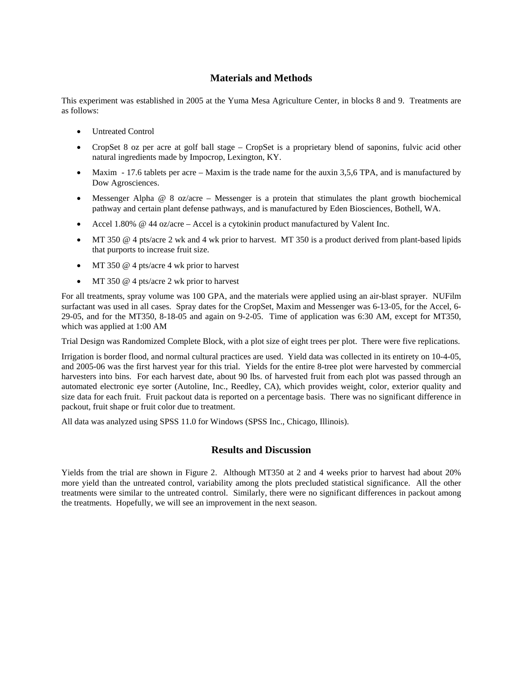## **Materials and Methods**

This experiment was established in 2005 at the Yuma Mesa Agriculture Center, in blocks 8 and 9. Treatments are as follows:

- Untreated Control
- CropSet 8 oz per acre at golf ball stage CropSet is a proprietary blend of saponins, fulvic acid other natural ingredients made by Impocrop, Lexington, KY.
- Maxim 17.6 tablets per acre Maxim is the trade name for the auxin 3,5,6 TPA, and is manufactured by Dow Agrosciences.
- Messenger Alpha  $@ 8$  oz/acre Messenger is a protein that stimulates the plant growth biochemical pathway and certain plant defense pathways, and is manufactured by Eden Biosciences, Bothell, WA.
- Accel 1.80% @ 44 oz/acre Accel is a cytokinin product manufactured by Valent Inc.
- MT 350 @ 4 pts/acre 2 wk and 4 wk prior to harvest. MT 350 is a product derived from plant-based lipids that purports to increase fruit size.
- MT 350 @ 4 pts/acre 4 wk prior to harvest
- MT 350 @ 4 pts/acre 2 wk prior to harvest

For all treatments, spray volume was 100 GPA, and the materials were applied using an air-blast sprayer. NUFilm surfactant was used in all cases. Spray dates for the CropSet, Maxim and Messenger was 6-13-05, for the Accel, 6- 29-05, and for the MT350, 8-18-05 and again on 9-2-05. Time of application was 6:30 AM, except for MT350, which was applied at 1:00 AM

Trial Design was Randomized Complete Block, with a plot size of eight trees per plot. There were five replications.

Irrigation is border flood, and normal cultural practices are used. Yield data was collected in its entirety on 10-4-05, and 2005-06 was the first harvest year for this trial. Yields for the entire 8-tree plot were harvested by commercial harvesters into bins. For each harvest date, about 90 lbs. of harvested fruit from each plot was passed through an automated electronic eye sorter (Autoline, Inc., Reedley, CA), which provides weight, color, exterior quality and size data for each fruit. Fruit packout data is reported on a percentage basis. There was no significant difference in packout, fruit shape or fruit color due to treatment.

All data was analyzed using SPSS 11.0 for Windows (SPSS Inc., Chicago, Illinois).

### **Results and Discussion**

Yields from the trial are shown in Figure 2. Although MT350 at 2 and 4 weeks prior to harvest had about 20% more yield than the untreated control, variability among the plots precluded statistical significance. All the other treatments were similar to the untreated control. Similarly, there were no significant differences in packout among the treatments. Hopefully, we will see an improvement in the next season.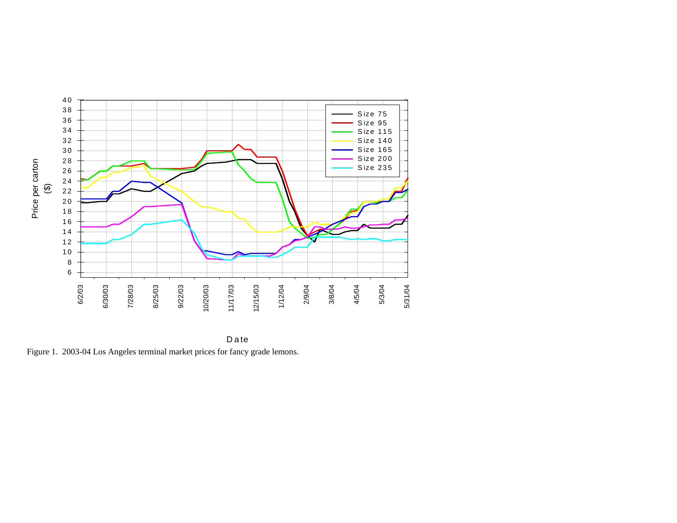

D ate Figure 1. 2003-04 Los Angeles terminal market prices for fancy grade lemons.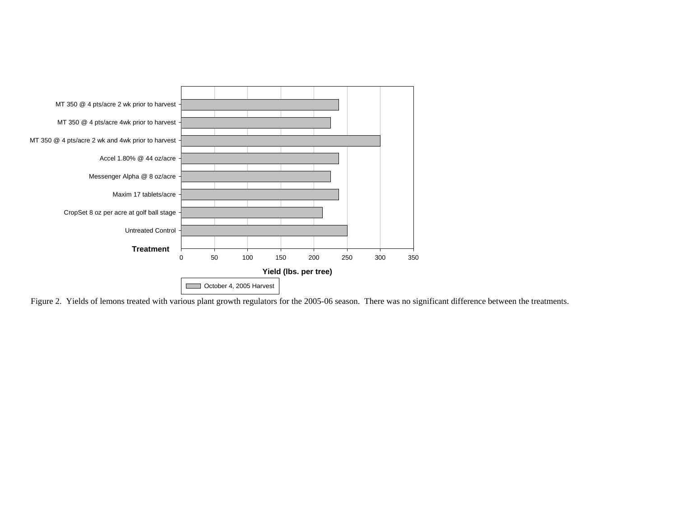

Figure 2. Yields of lemons treated with various plant growth regulators for the 2005-06 season. There was no significant difference between the treatments.